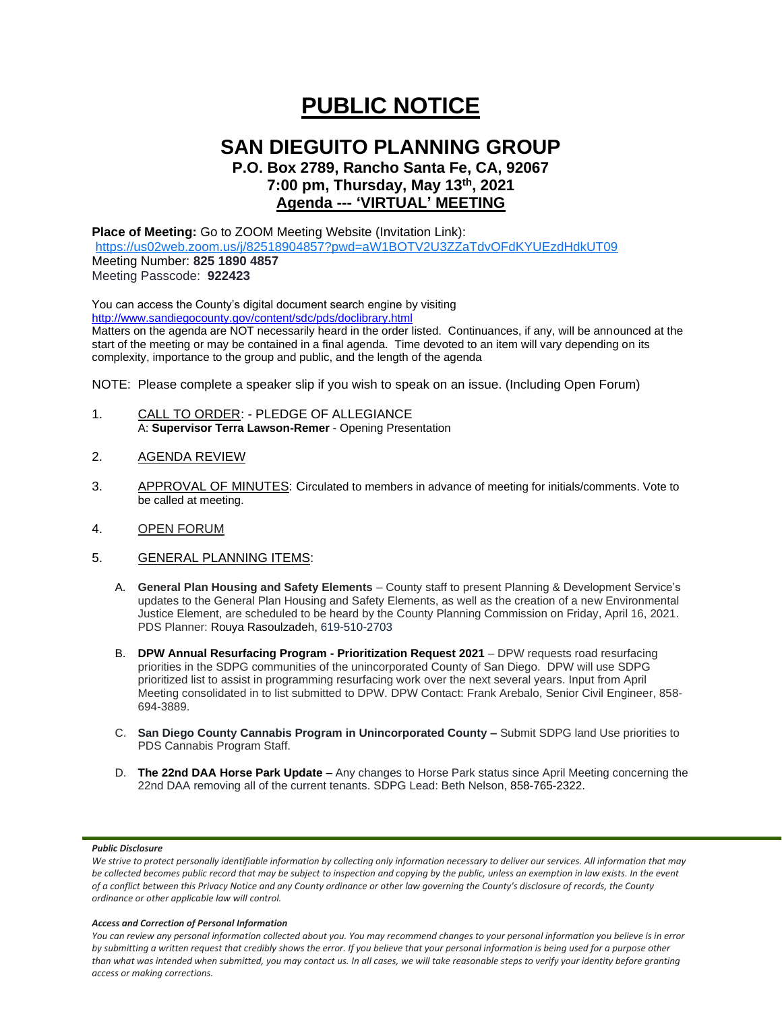# **PUBLIC NOTICE**

## **SAN DIEGUITO PLANNING GROUP**

**P.O. Box 2789, Rancho Santa Fe, CA, 92067 7:00 pm, Thursday, May 13th, 2021 Agenda --- 'VIRTUAL' MEETING**

## **Place of Meeting:** Go to ZOOM Meeting Website (Invitation Link):

<https://us02web.zoom.us/j/82518904857?pwd=aW1BOTV2U3ZZaTdvOFdKYUEzdHdkUT09> Meeting Number: **825 1890 4857** Meeting Passcode: **922423**

You can access the County's digital document search engine by visiting <http://www.sandiegocounty.gov/content/sdc/pds/doclibrary.html> Matters on the agenda are NOT necessarily heard in the order listed. Continuances, if any, will be announced at the start of the meeting or may be contained in a final agenda. Time devoted to an item will vary depending on its complexity, importance to the group and public, and the length of the agenda

NOTE: Please complete a speaker slip if you wish to speak on an issue. (Including Open Forum)

- 1. CALL TO ORDER: PLEDGE OF ALLEGIANCE A: **Supervisor Terra Lawson-Remer** - Opening Presentation
- 2. AGENDA REVIEW
- 3. APPROVAL OF MINUTES: Circulated to members in advance of meeting for initials/comments. Vote to be called at meeting.
- 4. OPEN FORUM
- 5. GENERAL PLANNING ITEMS:
	- A. **General Plan Housing and Safety Elements** County staff to present Planning & Development Service's updates to the General Plan Housing and Safety Elements, as well as the creation of a new Environmental Justice Element, are scheduled to be heard by the County Planning Commission on Friday, April 16, 2021. PDS Planner: Rouya Rasoulzadeh, 619-510-2703
	- B. **DPW Annual Resurfacing Program - Prioritization Request 2021** DPW requests road resurfacing priorities in the SDPG communities of the unincorporated County of San Diego. DPW will use SDPG prioritized list to assist in programming resurfacing work over the next several years. Input from April Meeting consolidated in to list submitted to DPW. DPW Contact: Frank Arebalo, Senior Civil Engineer, 858- 694-3889.
	- C. **San Diego County Cannabis Program in Unincorporated County –** Submit SDPG land Use priorities to PDS Cannabis Program Staff.
	- D. **The 22nd DAA Horse Park Update** Any changes to Horse Park status since April Meeting concerning the 22nd DAA removing all of the current tenants. SDPG Lead: Beth Nelson, 858-765-2322.

#### *Public Disclosure*

#### *Access and Correction of Personal Information*

*You can review any personal information collected about you. You may recommend changes to your personal information you believe is in error by submitting a written request that credibly shows the error. If you believe that your personal information is being used for a purpose other than what was intended when submitted, you may contact us. In all cases, we will take reasonable steps to verify your identity before granting access or making corrections.*

We strive to protect personally identifiable information by collecting only information necessary to deliver our services. All information that may *be collected becomes public record that may be subject to inspection and copying by the public, unless an exemption in law exists. In the event of a conflict between this Privacy Notice and any County ordinance or other law governing the County's disclosure of records, the County ordinance or other applicable law will control.*